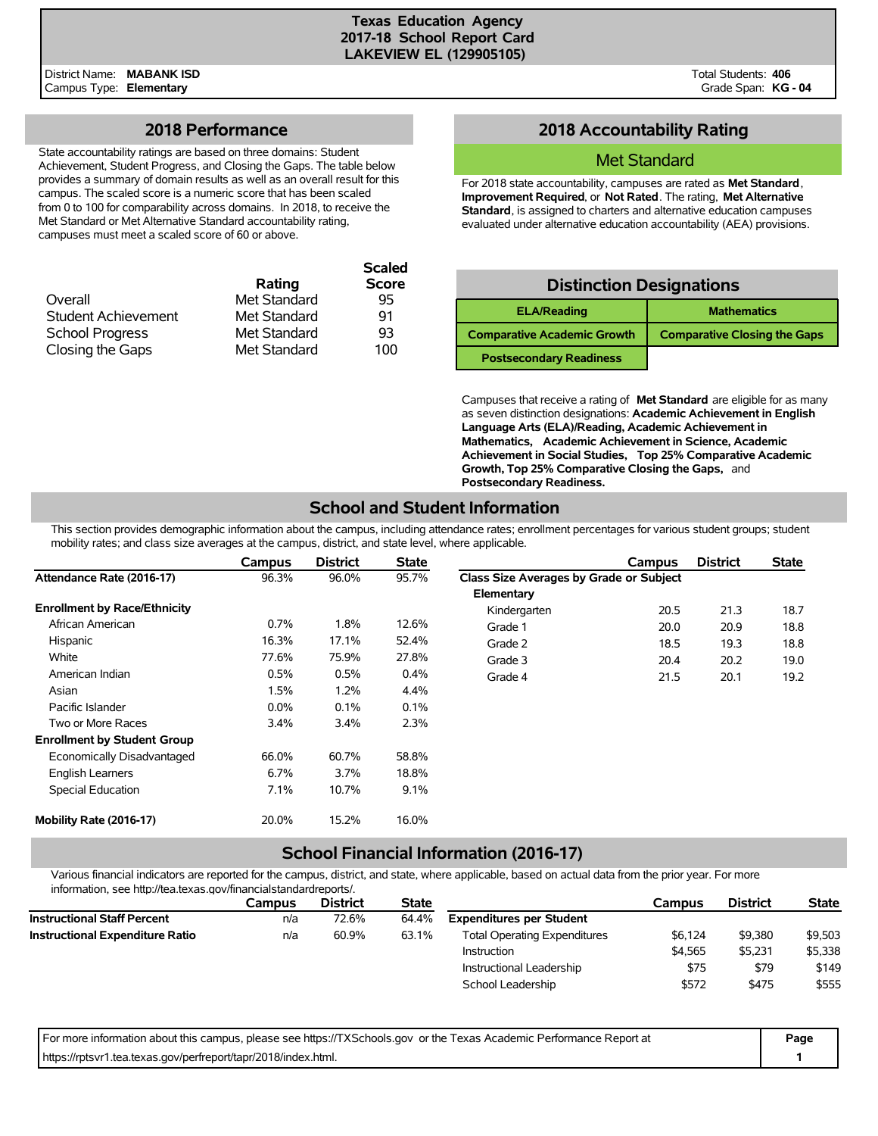## **2018 Performance**

State accountability ratings are based on three domains: Student Achievement, Student Progress, and Closing the Gaps. The table below provides a summary of domain results as well as an overall result for this campus. The scaled score is a numeric score that has been scaled from 0 to 100 for comparability across domains. In 2018, to receive the Met Standard or Met Alternative Standard accountability rating, campuses must meet a scaled score of 60 or above.

|                            |              | <b>Scaled</b> |
|----------------------------|--------------|---------------|
|                            | Rating       | <b>Score</b>  |
| Overall                    | Met Standard | 95            |
| <b>Student Achievement</b> | Met Standard | 91            |
| <b>School Progress</b>     | Met Standard | 93            |
| Closing the Gaps           | Met Standard | 100           |

# **2018 Accountability Rating**

### Met Standard

For 2018 state accountability, campuses are rated as **Met Standard**, **Improvement Required**, or **Not Rated**. The rating, **Met Alternative Standard**, is assigned to charters and alternative education campuses evaluated under alternative education accountability (AEA) provisions.

| <b>Distinction Designations</b>    |                                     |  |  |  |  |  |  |  |
|------------------------------------|-------------------------------------|--|--|--|--|--|--|--|
| <b>ELA/Reading</b>                 | <b>Mathematics</b>                  |  |  |  |  |  |  |  |
| <b>Comparative Academic Growth</b> | <b>Comparative Closing the Gaps</b> |  |  |  |  |  |  |  |
| <b>Postsecondary Readiness</b>     |                                     |  |  |  |  |  |  |  |

Campuses that receive a rating of **Met Standard** are eligible for as many as seven distinction designations: **Academic Achievement in English Language Arts (ELA)/Reading, Academic Achievement in Mathematics, Academic Achievement in Science, Academic Achievement in Social Studies, Top 25% Comparative Academic Growth, Top 25% Comparative Closing the Gaps,** and **Postsecondary Readiness.**

# **School and Student Information**

This section provides demographic information about the campus, including attendance rates; enrollment percentages for various student groups; student mobility rates; and class size averages at the campus, district, and state level, where applicable.

|                                     | <b>Campus</b> | <b>District</b> | <b>State</b> |                                         | Campus | <b>District</b> | <b>State</b> |
|-------------------------------------|---------------|-----------------|--------------|-----------------------------------------|--------|-----------------|--------------|
| Attendance Rate (2016-17)           | 96.3%         | 96.0%           | 95.7%        | Class Size Averages by Grade or Subject |        |                 |              |
|                                     |               |                 |              | Elementary                              |        |                 |              |
| <b>Enrollment by Race/Ethnicity</b> |               |                 |              | Kindergarten                            | 20.5   | 21.3            | 18.7         |
| African American                    | 0.7%          | 1.8%            | 12.6%        | Grade 1                                 | 20.0   | 20.9            | 18.8         |
| Hispanic                            | 16.3%         | 17.1%           | 52.4%        | Grade 2                                 | 18.5   | 19.3            | 18.8         |
| White                               | 77.6%         | 75.9%           | 27.8%        | Grade 3                                 | 20.4   | 20.2            | 19.0         |
| American Indian                     | 0.5%          | 0.5%            | $0.4\%$      | Grade 4                                 | 21.5   | 20.1            | 19.2         |
| Asian                               | 1.5%          | 1.2%            | 4.4%         |                                         |        |                 |              |
| Pacific Islander                    | $0.0\%$       | 0.1%            | 0.1%         |                                         |        |                 |              |
| Two or More Races                   | $3.4\%$       | 3.4%            | 2.3%         |                                         |        |                 |              |
| <b>Enrollment by Student Group</b>  |               |                 |              |                                         |        |                 |              |
| Economically Disadvantaged          | 66.0%         | 60.7%           | 58.8%        |                                         |        |                 |              |
| <b>English Learners</b>             | 6.7%          | 3.7%            | 18.8%        |                                         |        |                 |              |
| Special Education                   | 7.1%          | 10.7%           | 9.1%         |                                         |        |                 |              |
| Mobility Rate (2016-17)             | 20.0%         | 15.2%           | 16.0%        |                                         |        |                 |              |

# **School Financial Information (2016-17)**

Various financial indicators are reported for the campus, district, and state, where applicable, based on actual data from the prior year. For more information, see http://tea.texas.gov/financialstandardreports/.

|                                        | Campus | <b>District</b> | <b>State</b> |                                     | Campus  | <b>District</b> | <b>State</b> |
|----------------------------------------|--------|-----------------|--------------|-------------------------------------|---------|-----------------|--------------|
| <b>Instructional Staff Percent</b>     | n/a    | 72.6%           | 64.4%        | <b>Expenditures per Student</b>     |         |                 |              |
| <b>Instructional Expenditure Ratio</b> | n/a    | 60.9%           | 63.1%        | <b>Total Operating Expenditures</b> | \$6.124 | \$9,380         | \$9,503      |
|                                        |        |                 |              | Instruction                         | \$4.565 | \$5,231         | \$5,338      |
|                                        |        |                 |              | Instructional Leadership            | \$75    | \$79            | \$149        |
|                                        |        |                 |              | School Leadership                   | \$572   | \$475           | \$555        |

| For more information about this campus, please see https://TXSchools.gov or the Texas Academic Performance Report at | Page |
|----------------------------------------------------------------------------------------------------------------------|------|
| https://rptsvr1.tea.texas.gov/perfreport/tapr/2018/index.html.                                                       |      |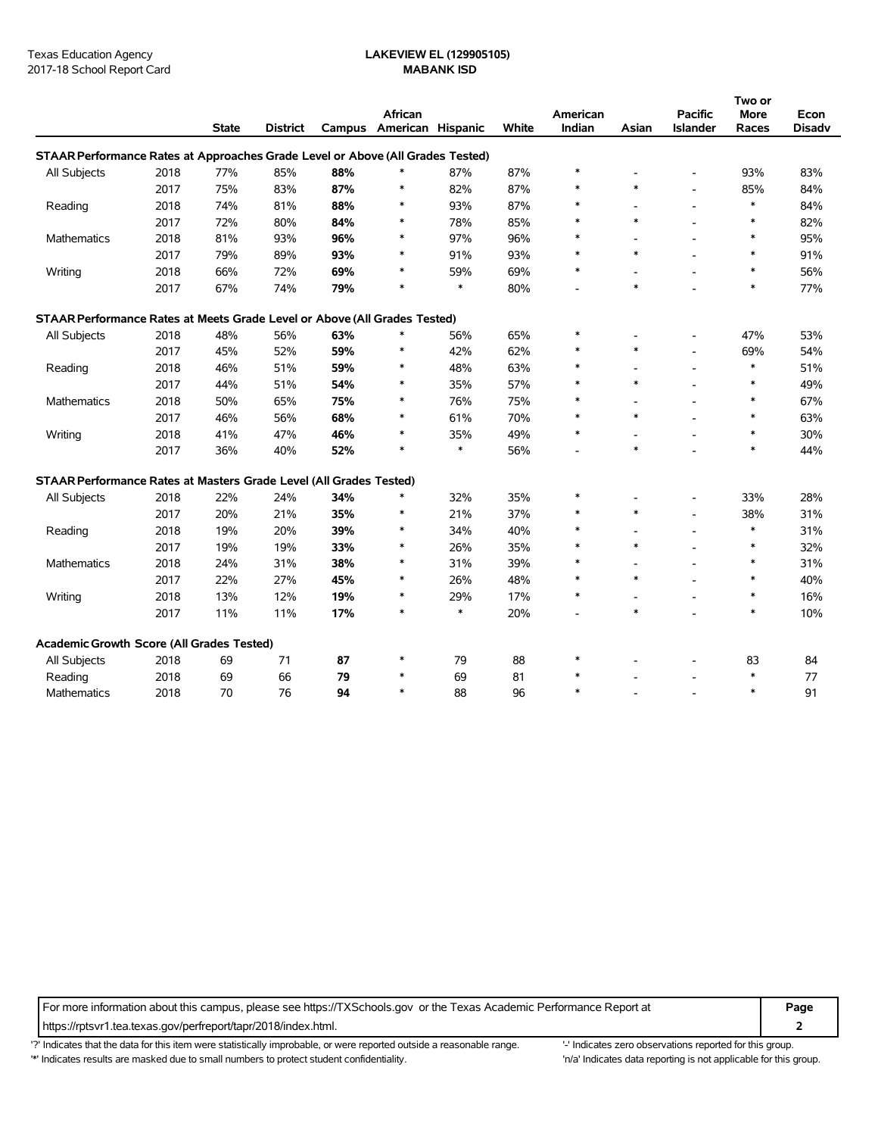|                                                                                |      |              |                 |     |                          |              |       |          |        |                          | Two or |               |
|--------------------------------------------------------------------------------|------|--------------|-----------------|-----|--------------------------|--------------|-------|----------|--------|--------------------------|--------|---------------|
|                                                                                |      |              |                 |     | African                  |              |       | American |        | <b>Pacific</b>           | More   | Econ          |
|                                                                                |      | <b>State</b> | <b>District</b> |     | Campus American Hispanic |              | White | Indian   | Asian  | Islander                 | Races  | <b>Disadv</b> |
| STAAR Performance Rates at Approaches Grade Level or Above (All Grades Tested) |      |              |                 |     |                          |              |       |          |        |                          |        |               |
| All Subjects                                                                   | 2018 | 77%          | 85%             | 88% | *                        | 87%          | 87%   | ∗        |        |                          | 93%    | 83%           |
|                                                                                | 2017 | 75%          | 83%             | 87% | $\ast$                   | 82%          | 87%   | $\ast$   | $\ast$ | $\overline{\phantom{a}}$ | 85%    | 84%           |
| Reading                                                                        | 2018 | 74%          | 81%             | 88% | $\ast$                   | 93%          | 87%   |          |        | $\blacksquare$           | $\ast$ | 84%           |
|                                                                                | 2017 | 72%          | 80%             | 84% | $\ast$                   | 78%          | 85%   |          | $\ast$ | $\overline{a}$           | $\ast$ | 82%           |
| Mathematics                                                                    | 2018 | 81%          | 93%             | 96% | $\ast$                   | 97%          | 96%   |          |        | $\overline{a}$           | $\ast$ | 95%           |
|                                                                                | 2017 | 79%          | 89%             | 93% | $\ast$                   | 91%          | 93%   | $\ast$   | $\ast$ |                          | $\ast$ | 91%           |
| Writing                                                                        | 2018 | 66%          | 72%             | 69% | $\ast$                   | 59%          | 69%   | $\ast$   |        | $\overline{\phantom{a}}$ | $\ast$ | 56%           |
|                                                                                | 2017 | 67%          | 74%             | 79% | $\ast$                   | $\pmb{\ast}$ | 80%   |          | $\ast$ |                          | $\ast$ | 77%           |
| STAAR Performance Rates at Meets Grade Level or Above (All Grades Tested)      |      |              |                 |     |                          |              |       |          |        |                          |        |               |
| All Subjects                                                                   | 2018 | 48%          | 56%             | 63% | *                        | 56%          | 65%   | $\ast$   |        | $\overline{\phantom{a}}$ | 47%    | 53%           |
|                                                                                | 2017 | 45%          | 52%             | 59% | $\ast$                   | 42%          | 62%   |          | $\ast$ | $\overline{\phantom{a}}$ | 69%    | 54%           |
| Reading                                                                        | 2018 | 46%          | 51%             | 59% | $\ast$                   | 48%          | 63%   |          |        | $\overline{\phantom{a}}$ | $\ast$ | 51%           |
|                                                                                | 2017 | 44%          | 51%             | 54% | $\ast$                   | 35%          | 57%   | $\ast$   | $\ast$ | $\overline{a}$           | $\ast$ | 49%           |
| Mathematics                                                                    | 2018 | 50%          | 65%             | 75% | $\ast$                   | 76%          | 75%   | $\ast$   |        | $\overline{\phantom{a}}$ | $\ast$ | 67%           |
|                                                                                | 2017 | 46%          | 56%             | 68% | $\ast$                   | 61%          | 70%   | $\ast$   | $\ast$ |                          | $\ast$ | 63%           |
| Writing                                                                        | 2018 | 41%          | 47%             | 46% | $\ast$                   | 35%          | 49%   | $\ast$   | ÷,     | $\overline{\phantom{a}}$ | $\ast$ | 30%           |
|                                                                                | 2017 | 36%          | 40%             | 52% | $\ast$                   | $\ast$       | 56%   |          | $\ast$ |                          | $\ast$ | 44%           |
| STAAR Performance Rates at Masters Grade Level (All Grades Tested)             |      |              |                 |     |                          |              |       |          |        |                          |        |               |
| All Subjects                                                                   | 2018 | 22%          | 24%             | 34% | $\ast$                   | 32%          | 35%   | $\ast$   |        |                          | 33%    | 28%           |
|                                                                                | 2017 | 20%          | 21%             | 35% | $\ast$                   | 21%          | 37%   | $\ast$   | $\ast$ | $\overline{\phantom{a}}$ | 38%    | 31%           |
| Reading                                                                        | 2018 | 19%          | 20%             | 39% | $\ast$                   | 34%          | 40%   | ∗        | ٠      | $\blacksquare$           | $\ast$ | 31%           |
|                                                                                | 2017 | 19%          | 19%             | 33% | *                        | 26%          | 35%   | *        | $\ast$ | $\overline{a}$           | $\ast$ | 32%           |
| <b>Mathematics</b>                                                             | 2018 | 24%          | 31%             | 38% | $\ast$                   | 31%          | 39%   | ∗        | ٠      | $\overline{\phantom{a}}$ | $\ast$ | 31%           |
|                                                                                | 2017 | 22%          | 27%             | 45% | *                        | 26%          | 48%   | $\ast$   | $\ast$ |                          | $\ast$ | 40%           |
| Writing                                                                        | 2018 | 13%          | 12%             | 19% | $\ast$                   | 29%          | 17%   | $\ast$   | ÷,     | $\overline{a}$           | $\ast$ | 16%           |
|                                                                                | 2017 | 11%          | 11%             | 17% | $\ast$                   | $\ast$       | 20%   |          | $\ast$ |                          | $\ast$ | 10%           |
| Academic Growth Score (All Grades Tested)                                      |      |              |                 |     |                          |              |       |          |        |                          |        |               |
| All Subjects                                                                   | 2018 | 69           | 71              | 87  | $\ast$                   | 79           | 88    | $\ast$   |        |                          | 83     | 84            |
| Reading                                                                        | 2018 | 69           | 66              | 79  | $\ast$                   | 69           | 81    | $\ast$   |        |                          | $\ast$ | 77            |
| <b>Mathematics</b>                                                             | 2018 | 70           | 76              | 94  | $\ast$                   | 88           | 96    | $\ast$   |        |                          | $\ast$ | 91            |

For more information about this campus, please see https://TXSchools.gov or the Texas Academic Performance Report at **Page**

https://rptsvr1.tea.texas.gov/perfreport/tapr/2018/index.html. **2**

'?' Indicates that the data for this item were statistically improbable, or were reported outside a reasonable range. '' Indicates zero observations reported for this group.

'\*' Indicates results are masked due to small numbers to protect student confidentiality. Moreover, the this group in/a' Indicates data reporting is not applicable for this group.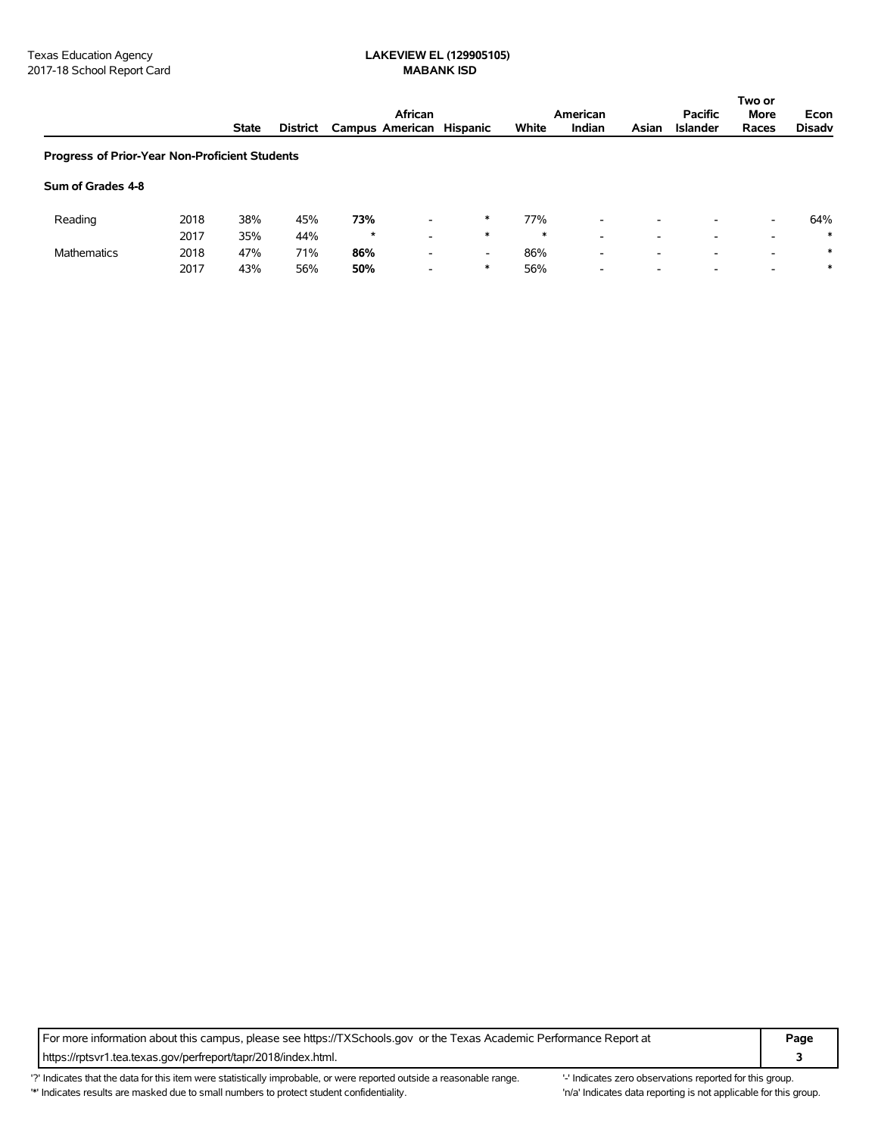|                                                |      | African      |          |                          |                          |        |        | American                 |       | <b>Pacific</b>           | Two or<br><b>More</b>    | Econ          |
|------------------------------------------------|------|--------------|----------|--------------------------|--------------------------|--------|--------|--------------------------|-------|--------------------------|--------------------------|---------------|
|                                                |      | <b>State</b> | District | Campus American Hispanic |                          |        | White  | Indian                   | Asian | <b>Islander</b>          | Races                    | <b>Disadv</b> |
| Progress of Prior-Year Non-Proficient Students |      |              |          |                          |                          |        |        |                          |       |                          |                          |               |
| Sum of Grades 4-8                              |      |              |          |                          |                          |        |        |                          |       |                          |                          |               |
| Reading                                        | 2018 | 38%          | 45%      | 73%                      | $\overline{\phantom{0}}$ | $\ast$ | 77%    | $\overline{\phantom{a}}$ | -     | $\overline{\phantom{0}}$ | $\overline{\phantom{a}}$ | 64%           |
|                                                | 2017 | 35%          | 44%      | $\star$                  | $\overline{\phantom{a}}$ | $\ast$ | $\ast$ | $\overline{\phantom{0}}$ | ۰.    | -                        | $\overline{\phantom{0}}$ | $\ast$        |
| <b>Mathematics</b>                             | 2018 | 47%          | 71%      | 86%                      | $\overline{\phantom{a}}$ | -      | 86%    | $\overline{\phantom{0}}$ | -     | -                        | $\overline{\phantom{0}}$ | $\ast$        |
|                                                | 2017 | 43%          | 56%      | 50%                      | $\overline{\phantom{a}}$ | $\ast$ | 56%    | $\overline{\phantom{a}}$ | -     | $\overline{\phantom{a}}$ | $\overline{\phantom{a}}$ | $\ast$        |

For more information about this campus, please see https://TXSchools.gov or the Texas Academic Performance Report at **Page** https://rptsvr1.tea.texas.gov/perfreport/tapr/2018/index.html. **3**

'?' Indicates that the data for this item were statistically improbable, or were reported outside a reasonable range. "Indicates zero observations reported for this group. '\*' Indicates results are masked due to small numbers to protect student confidentiality. 
"n/a' Indicates data reporting is not applicable for this group.